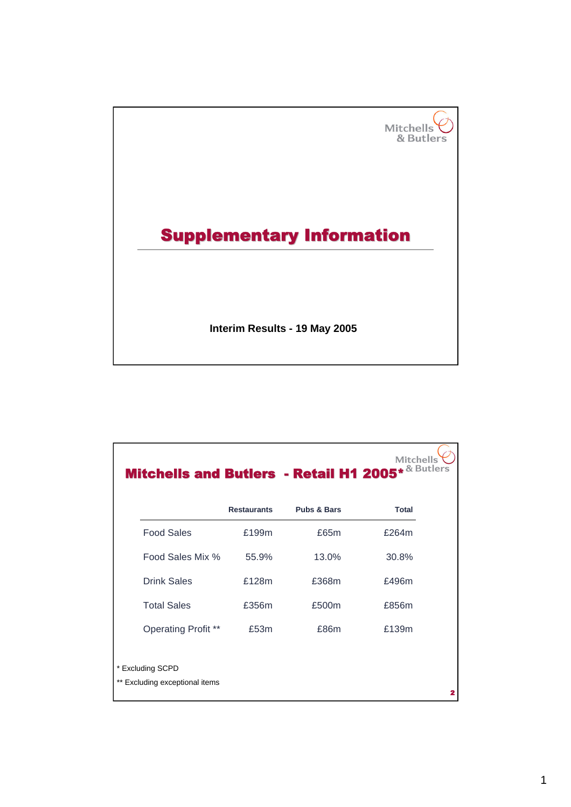

| Mitchells and Butlers - Retail H1 2005* & Butlers  |                    |                        | <b>Mitchells</b> |
|----------------------------------------------------|--------------------|------------------------|------------------|
|                                                    | <b>Restaurants</b> | <b>Pubs &amp; Bars</b> | <b>Total</b>     |
| <b>Food Sales</b>                                  | £199m              | £65m                   | £264m            |
| Food Sales Mix %                                   | 55.9%              | 13.0%                  | 30.8%            |
| <b>Drink Sales</b>                                 | £128m              | £368m                  | £496m            |
| <b>Total Sales</b>                                 | £356m              | £500m                  | £856m            |
| <b>Operating Profit **</b>                         | £53m               | £86m                   | £139m            |
| * Excluding SCPD<br>** Excluding exceptional items |                    |                        | 2                |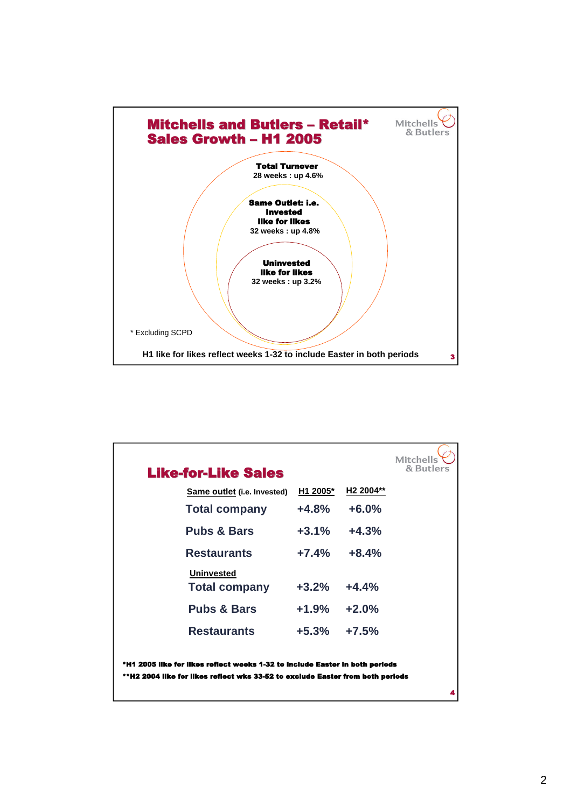

| <b>Like-for-Like Sales</b>                                                                                                                                     |          |                       | <b>Mitchells</b><br>& Butlers |
|----------------------------------------------------------------------------------------------------------------------------------------------------------------|----------|-----------------------|-------------------------------|
| <b>Same outlet (i.e. Invested)</b>                                                                                                                             | H1 2005* | H <sub>2</sub> 2004** |                               |
| <b>Total company</b>                                                                                                                                           | $+4.8%$  | $+6.0%$               |                               |
| <b>Pubs &amp; Bars</b>                                                                                                                                         | $+3.1\%$ | $+4.3%$               |                               |
| <b>Restaurants</b>                                                                                                                                             | $+7.4%$  | $+8.4%$               |                               |
| <b>Uninvested</b><br><b>Total company</b>                                                                                                                      | $+3.2%$  | $+4.4%$               |                               |
| <b>Pubs &amp; Bars</b>                                                                                                                                         | $+1.9\%$ | $+2.0%$               |                               |
| <b>Restaurants</b>                                                                                                                                             | +5.3%    | $+7.5%$               |                               |
| *H1 2005 like for likes reflect weeks 1-32 to include Easter in both periods<br>**H2 2004 like for likes reflect wks 33-52 to exclude Easter from both periods |          |                       |                               |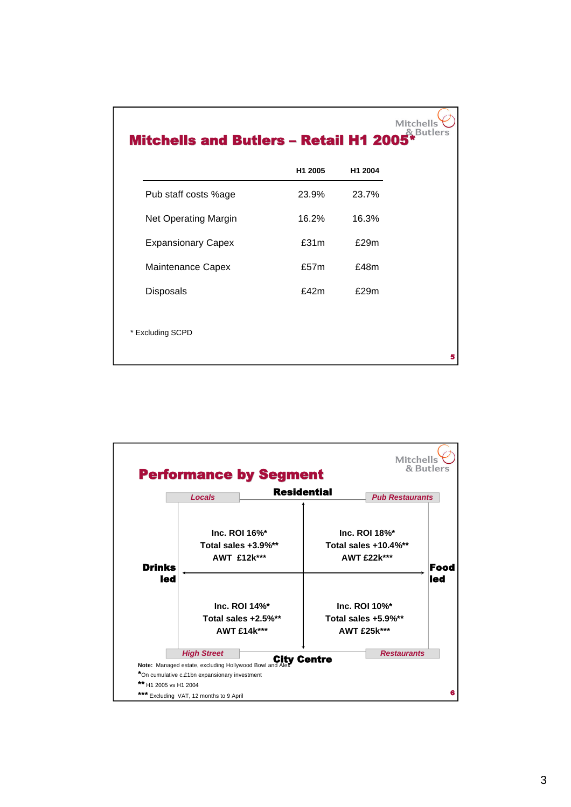

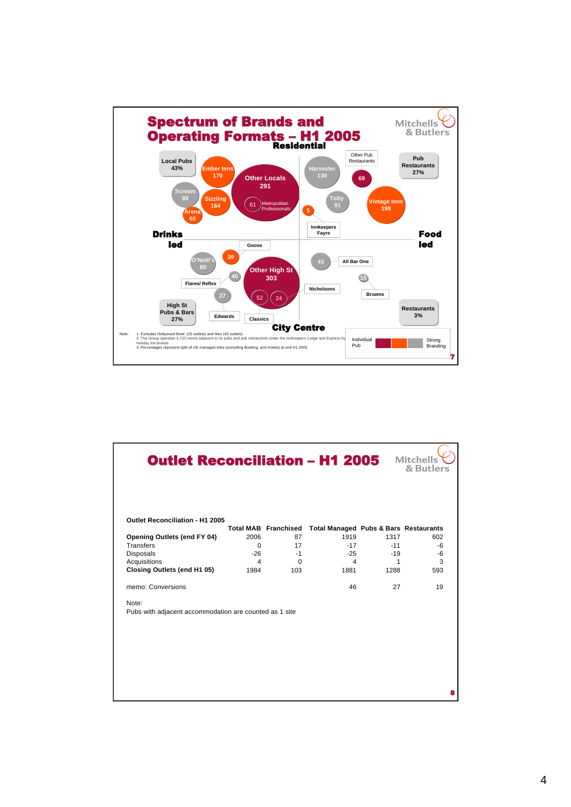

| <b>Outlet Reconciliation - H1 2005</b>                 |          |                             |                                                  |       | <b>Mitchells</b><br>& Butlers |
|--------------------------------------------------------|----------|-----------------------------|--------------------------------------------------|-------|-------------------------------|
| Outlet Reconciliation - H1 2005                        |          | <b>Total MAB Franchised</b> | <b>Total Managed Pubs &amp; Bars Restaurants</b> |       |                               |
| <b>Opening Outlets (end FY 04)</b>                     | 2006     | 87                          | 1919                                             | 1317  | 602                           |
| <b>Transfers</b>                                       | $\Omega$ | 17                          | $-17$                                            | $-11$ | -6                            |
| Disposals                                              | $-26$    | $-1$                        | $-25$                                            | $-19$ | -6                            |
| Acquisitions                                           | 4        | $\Omega$                    | 4                                                | 1     | 3                             |
| Closing Outlets (end H1 05)                            | 1984     | 103                         | 1881                                             | 1288  | 593                           |
| memo: Conversions                                      |          |                             | 46                                               | 27    | 19                            |
| Note:                                                  |          |                             |                                                  |       |                               |
| Pubs with adjacent accommodation are counted as 1 site |          |                             |                                                  |       |                               |
|                                                        |          |                             |                                                  |       |                               |
|                                                        |          |                             |                                                  |       |                               |
|                                                        |          |                             |                                                  |       |                               |
|                                                        |          |                             |                                                  |       |                               |
|                                                        |          |                             |                                                  |       |                               |
|                                                        |          |                             |                                                  |       |                               |
|                                                        |          |                             |                                                  |       |                               |
|                                                        |          |                             |                                                  |       |                               |
|                                                        |          |                             |                                                  |       |                               |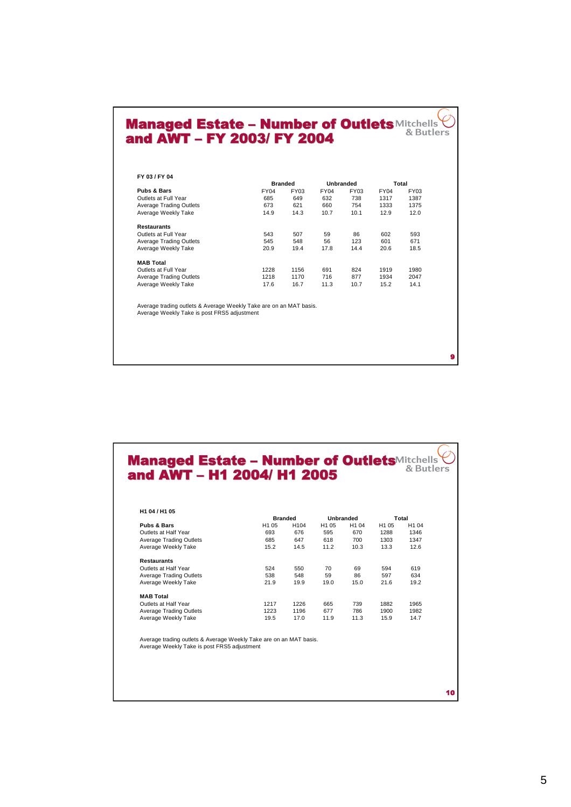## Managed Estate – Number of Outlets and AWT – FY 2003/ FY 2004

|                         |             | <b>Branded</b> |             | <b>Unbranded</b> |             | Total |
|-------------------------|-------------|----------------|-------------|------------------|-------------|-------|
| Pubs & Bars             | <b>FY04</b> | FY03           | <b>FY04</b> | <b>FY03</b>      | <b>FY04</b> | FY03  |
| Outlets at Full Year    | 685         | 649            | 632         | 738              | 1317        | 1387  |
| Average Trading Outlets | 673         | 621            | 660         | 754              | 1333        | 1375  |
| Average Weekly Take     | 14.9        | 14.3           | 10.7        | 10.1             | 12.9        | 12.0  |
| <b>Restaurants</b>      |             |                |             |                  |             |       |
| Outlets at Full Year    | 543         | 507            | 59          | 86               | 602         | 593   |
| Average Trading Outlets | 545         | 548            | 56          | 123              | 601         | 671   |
| Average Weekly Take     | 20.9        | 19.4           | 17.8        | 14.4             | 20.6        | 18.5  |
| <b>MAB Total</b>        |             |                |             |                  |             |       |
| Outlets at Full Year    | 1228        | 1156           | 691         | 824              | 1919        | 1980  |
| Average Trading Outlets | 1218        | 1170           | 716         | 877              | 1934        | 2047  |
| Average Weekly Take     | 17.6        | 16.7           | 11.3        | 10.7             | 15.2        | 14.1  |
|                         |             |                |             |                  |             |       |

Managed Estate – Number of Outlets and AWT – H1 2004/ H1 2005

| H1 04 / H1 05                  |                  |                  |                   |                   |                   |                   |  |
|--------------------------------|------------------|------------------|-------------------|-------------------|-------------------|-------------------|--|
|                                |                  | <b>Branded</b>   |                   | Unbranded         |                   | Total             |  |
| <b>Pubs &amp; Bars</b>         | H <sub>105</sub> | H <sub>104</sub> | H <sub>1</sub> 05 | H <sub>1</sub> 04 | H <sub>1</sub> 05 | H <sub>1</sub> 04 |  |
| Outlets at Half Year           | 693              | 676              | 595               | 670               | 1288              | 1346              |  |
| <b>Average Trading Outlets</b> | 685              | 647              | 618               | 700               | 1303              | 1347              |  |
| Average Weekly Take            | 15.2             | 14.5             | 11.2              | 10.3              | 13.3              | 12.6              |  |
| <b>Restaurants</b>             |                  |                  |                   |                   |                   |                   |  |
| Outlets at Half Year           | 524              | 550              | 70                | 69                | 594               | 619               |  |
| <b>Average Trading Outlets</b> | 538              | 548              | 59                | 86                | 597               | 634               |  |
| Average Weekly Take            | 21.9             | 19.9             | 19.0              | 15.0              | 21.6              | 19.2              |  |
| <b>MAB Total</b>               |                  |                  |                   |                   |                   |                   |  |
| Outlets at Half Year           | 1217             | 1226             | 665               | 739               | 1882              | 1965              |  |
| <b>Average Trading Outlets</b> | 1223             | 1196             | 677               | 786               | 1900              | 1982              |  |
| Average Weekly Take            | 19.5             | 17.0             | 11.9              | 11.3              | 15.9              | 14.7              |  |

Average trading outlets & Average Weekly Take are on an MAT basis. Average Weekly Take is post FRS5 adjustment

**s**

10

 $\bullet$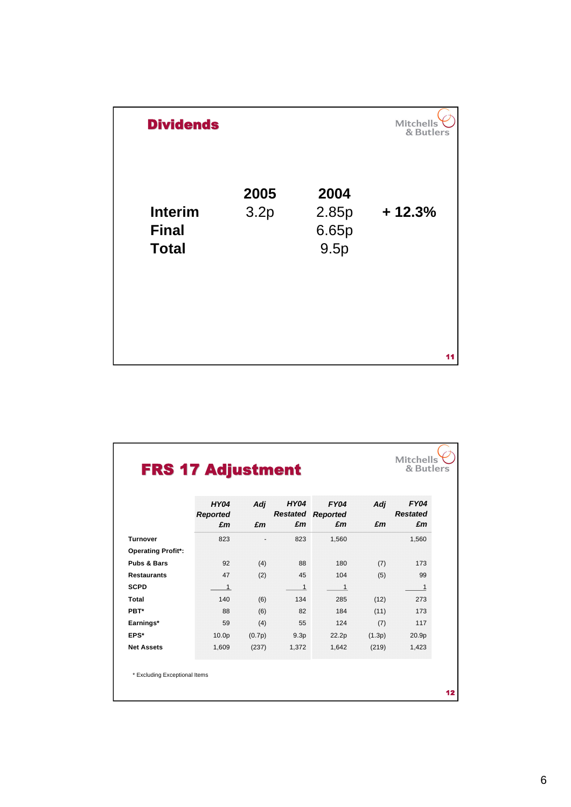| <b>Dividends</b>                               |              |                                | <b>Mitchells</b><br>& Butlers |
|------------------------------------------------|--------------|--------------------------------|-------------------------------|
| <b>Interim</b><br><b>Final</b><br><b>Total</b> | 2005<br>3.2p | 2004<br>2.85p<br>6.65p<br>9.5p | $+12.3%$                      |
|                                                |              |                                | 11                            |

|                           | <b>HY04</b>           | Adj    | <b>HY04</b>      | <b>FY04</b>                    | Adj    | <b>FY04</b><br><b>Restated</b> |
|---------------------------|-----------------------|--------|------------------|--------------------------------|--------|--------------------------------|
|                           | <b>Reported</b><br>£m | £m     | £m               | <b>Restated Reported</b><br>£m | £m     | £m                             |
| <b>Turnover</b>           | 823                   | ٠      | 823              | 1,560                          |        | 1,560                          |
| <b>Operating Profit*:</b> |                       |        |                  |                                |        |                                |
| <b>Pubs &amp; Bars</b>    | 92                    | (4)    | 88               | 180                            | (7)    | 173                            |
| <b>Restaurants</b>        | 47                    | (2)    | 45               | 104                            | (5)    | 99                             |
| <b>SCPD</b>               | $\overline{1}$        |        | $\mathbf{1}$     | $\overline{1}$                 |        | $\mathbf{1}$                   |
| Total                     | 140                   | (6)    | 134              | 285                            | (12)   | 273                            |
| PBT*                      | 88                    | (6)    | 82               | 184                            | (11)   | 173                            |
| Earnings*                 | 59                    | (4)    | 55               | 124                            | (7)    | 117                            |
| EPS*                      | 10.0 <sub>p</sub>     | (0.7p) | 9.3 <sub>p</sub> | 22.2p                          | (1.3p) | 20.9p                          |
| <b>Net Assets</b>         | 1,609                 | (237)  | 1,372            | 1,642                          | (219)  | 1,423                          |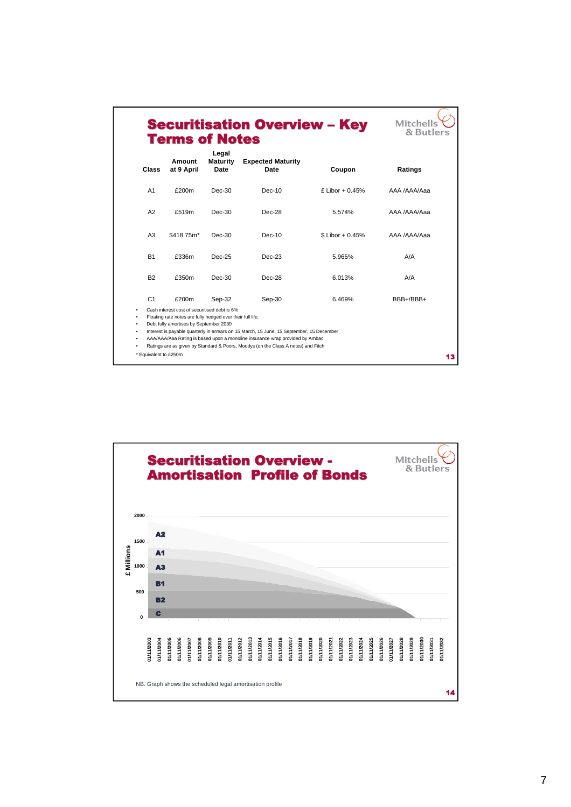|                |                                                                                                                                                                         | Date<br>Date                                                                                                                                                                       | Coupon            | Ratings      |
|----------------|-------------------------------------------------------------------------------------------------------------------------------------------------------------------------|------------------------------------------------------------------------------------------------------------------------------------------------------------------------------------|-------------------|--------------|
| A <sub>1</sub> | £200m<br>$Dec-30$                                                                                                                                                       | $Dec-10$                                                                                                                                                                           | £ Libor + $0.45%$ | AAA /AAA/Aaa |
| A2             | £519m<br>$Dec-30$                                                                                                                                                       | $Dec-28$                                                                                                                                                                           | 5.574%            | AAA /AAA/Aaa |
| A3             | \$418.75m*<br>$Dec-30$                                                                                                                                                  | $Dec-10$                                                                                                                                                                           | $$$ Libor + 0.45% | AAA /AAA/Aaa |
| <b>B1</b>      | £336m<br>$Dec-25$                                                                                                                                                       | $Dec-23$                                                                                                                                                                           | 5.965%            | A/A          |
| <b>B2</b>      | £350m<br>$Dec-30$                                                                                                                                                       | $Dec-28$                                                                                                                                                                           | 6.013%            | A/A          |
| C <sub>1</sub> | £200m<br>Sep-32<br>Cash interest cost of securitised debt is 6%<br>Floating rate notes are fully hedged over their full life.<br>Debt fully amortises by September 2030 | Sep-30<br>Interest is payable quarterly in arrears on 15 March, 15 June, 15 September, 15 December<br>AAA/AAA/Aaa Rating is based upon a monoline insurance wrap provided by Ambac | 6.469%            | BBB+/BBB+    |
|                | * Equivalent to £250m                                                                                                                                                   | Ratings are as given by Standard & Poors, Moodys (on the Class A notes) and Fitch                                                                                                  |                   |              |